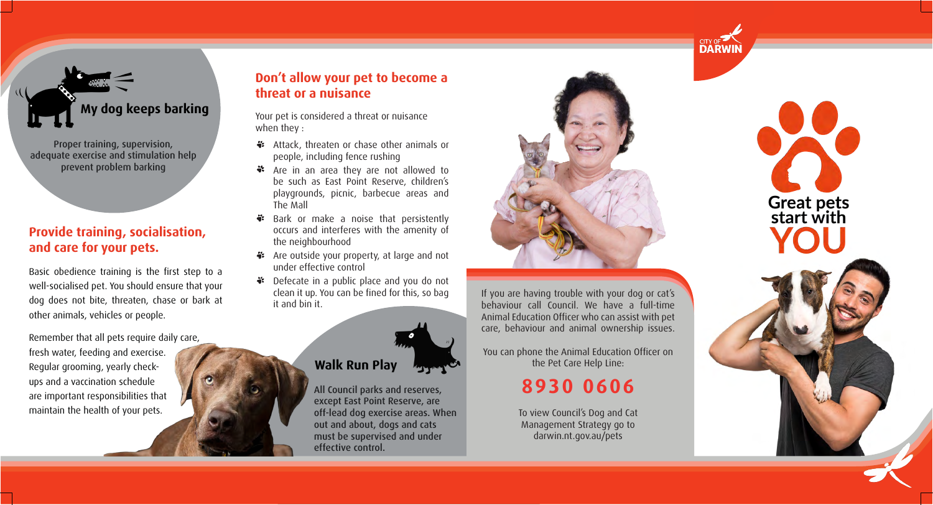#### **Provide training, socialisation, and care for your pets.**

Basic obedience training is the first step to a well-socialised pet. You should ensure that your dog does not bite, threaten, chase or bark at other animals, vehicles or people.

Remember that all pets require daily care, fresh water, feeding and exercise. Regular grooming, yearly checkups and a vaccination schedule are important responsibilities that maintain the health of your pets.

#### **Don't allow your pet to become a threat or a nuisance**

- **\*\*** Attack, threaten or chase other animals or people, including fence rushing
- $\ddot{\bullet}$ Are in an area they are not allowed to be such as East Point Reserve, children's playgrounds, picnic, barbecue areas and The Mall
- Bark or make a noise that persistently occurs and interferes with the amenity of the neighbourhood
- \*\* Are outside your property, at large and not under effective control
- Defecate in a public place and you do not clean it up. You can be fined for this, so bag it and bin it.

Your pet is considered a threat or nuisance when they :

> All Council parks and reserves, except East Point Reserve, are off-lead dog exercise areas. When out and about, dogs and cats must be supervised and under effective control.



Proper training, supervision, adequate exercise and stimulation help prevent problem barking

# **My dog keeps barking**

#### **Walk Run Play**

If you are having trouble with your dog or cat's behaviour call Council. We have a full-time Animal Education Officer who can assist with pet care, behaviour and animal ownership issues.

You can phone the Animal Education Officer on the Pet Care Help Line:

> To view Council's Dog and Cat Management Strategy go to darwin.nt.gov.au/pets





# **8930 0606**